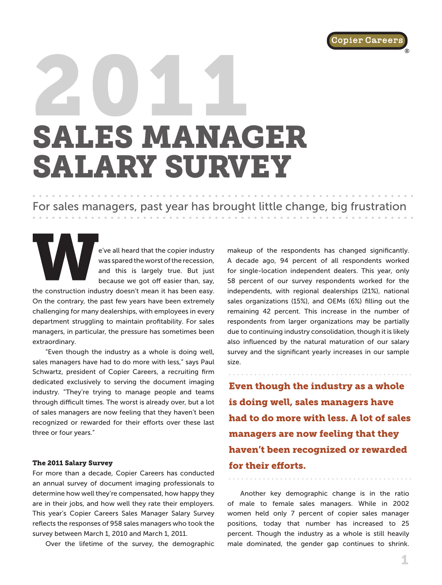

®

# 2011 SALES MANAGER SALARY SURVEY

# For sales managers, past year has brought little change, big frustration

e've all heard that the copier industry was spared the worst of the recession, and this is largely true. But just because we got off easier than, say,

the construction industry doesn't mean it has been easy. On the contrary, the past few years have been extremely challenging for many dealerships, with employees in every department struggling to maintain profitability. For sales managers, in particular, the pressure has sometimes been extraordinary.

"Even though the industry as a whole is doing well, sales managers have had to do more with less," says Paul Schwartz, president of Copier Careers, a recruiting firm dedicated exclusively to serving the document imaging industry. "They're trying to manage people and teams through difficult times. The worst is already over, but a lot of sales managers are now feeling that they haven't been recognized or rewarded for their efforts over these last three or four years."

#### The 2011 Salary Survey

For more than a decade, Copier Careers has conducted an annual survey of document imaging professionals to determine how well they're compensated, how happy they are in their jobs, and how well they rate their employers. This year's Copier Careers Sales Manager Salary Survey reflects the responses of 958 sales managers who took the survey between March 1, 2010 and March 1, 2011.

Over the lifetime of the survey, the demographic

makeup of the respondents has changed significantly. A decade ago, 94 percent of all respondents worked for single-location independent dealers. This year, only 58 percent of our survey respondents worked for the independents, with regional dealerships (21%), national sales organizations (15%), and OEMs (6%) filling out the remaining 42 percent. This increase in the number of respondents from larger organizations may be partially due to continuing industry consolidation, though it is likely also influenced by the natural maturation of our salary survey and the significant yearly increases in our sample size.

Even though the industry as a whole is doing well, sales managers have had to do more with less. A lot of sales managers are now feeling that they haven't been recognized or rewarded for their efforts.

Another key demographic change is in the ratio of male to female sales managers. While in 2002 women held only 7 percent of copier sales manager positions, today that number has increased to 25 percent. Though the industry as a whole is still heavily male dominated, the gender gap continues to shrink.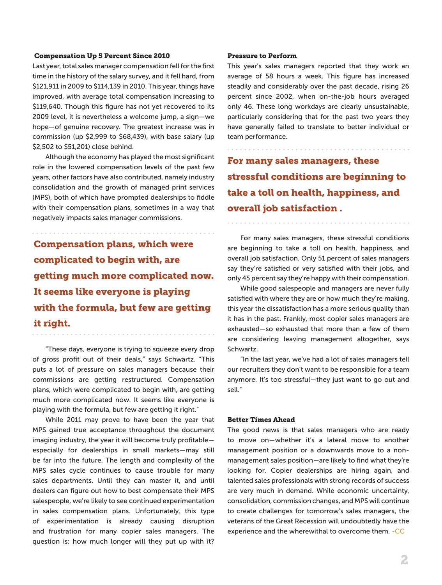#### Compensation Up 5 Percent Since 2010

Last year, total sales manager compensation fell for the first time in the history of the salary survey, and it fell hard, from \$121,911 in 2009 to \$114,139 in 2010. This year, things have improved, with average total compensation increasing to \$119,640. Though this figure has not yet recovered to its 2009 level, it is nevertheless a welcome jump, a sign—we hope—of genuine recovery. The greatest increase was in commission (up \$2,999 to \$68,439), with base salary (up \$2,502 to \$51,201) close behind.

Although the economy has played the most significant role in the lowered compensation levels of the past few years, other factors have also contributed, namely industry consolidation and the growth of managed print services (MPS), both of which have prompted dealerships to fiddle with their compensation plans, sometimes in a way that negatively impacts sales manager commissions.

Compensation plans, which were complicated to begin with, are getting much more complicated now. It seems like everyone is playing with the formula, but few are getting it right.

"These days, everyone is trying to squeeze every drop of gross profit out of their deals," says Schwartz. "This puts a lot of pressure on sales managers because their commissions are getting restructured. Compensation plans, which were complicated to begin with, are getting much more complicated now. It seems like everyone is playing with the formula, but few are getting it right."

While 2011 may prove to have been the year that MPS gained true acceptance throughout the document imaging industry, the year it will become truly profitable especially for dealerships in small markets—may still be far into the future. The length and complexity of the MPS sales cycle continues to cause trouble for many sales departments. Until they can master it, and until dealers can figure out how to best compensate their MPS salespeople, we're likely to see continued experimentation in sales compensation plans. Unfortunately, this type of experimentation is already causing disruption and frustration for many copier sales managers. The question is: how much longer will they put up with it?

#### Pressure to Perform

. . . . . . . . . .

This year's sales managers reported that they work an average of 58 hours a week. This figure has increased steadily and considerably over the past decade, rising 26 percent since 2002, when on-the-job hours averaged only 46. These long workdays are clearly unsustainable, particularly considering that for the past two years they have generally failed to translate to better individual or team performance.

For many sales managers, these stressful conditions are beginning to take a toll on health, happiness, and overall job satisfaction .

. . . . . . . . . . . . . . .

For many sales managers, these stressful conditions are beginning to take a toll on health, happiness, and overall job satisfaction. Only 51 percent of sales managers say they're satisfied or very satisfied with their jobs, and only 45 percent say they're happy with their compensation.

While good salespeople and managers are never fully satisfied with where they are or how much they're making, this year the dissatisfaction has a more serious quality than it has in the past. Frankly, most copier sales managers are exhausted—so exhausted that more than a few of them are considering leaving management altogether, says Schwartz.

"In the last year, we've had a lot of sales managers tell our recruiters they don't want to be responsible for a team anymore. It's too stressful—they just want to go out and sell."

#### Better Times Ahead

The good news is that sales managers who are ready to move on—whether it's a lateral move to another management position or a downwards move to a nonmanagement sales position—are likely to find what they're looking for. Copier dealerships are hiring again, and talented sales professionals with strong records of success are very much in demand. While economic uncertainty, consolidation, commission changes, and MPS will continue to create challenges for tomorrow's sales managers, the veterans of the Great Recession will undoubtedly have the experience and the wherewithal to overcome them. -CC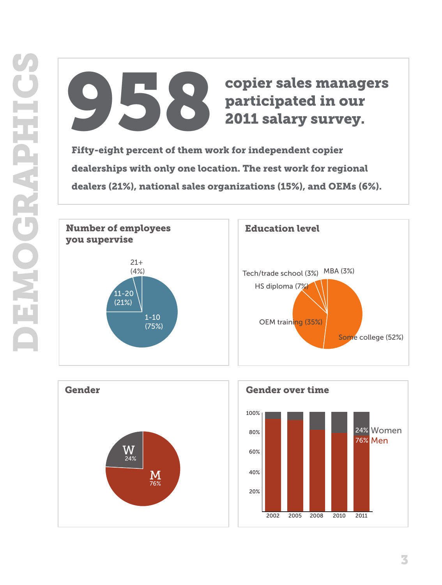# 958 copier sales managers participated in our 2011 salary survey.

Fifty-eight percent of them work for independent copier dealerships with only one location. The rest work for regional dealers (21%), national sales organizations (15%), and OEMs (6%).





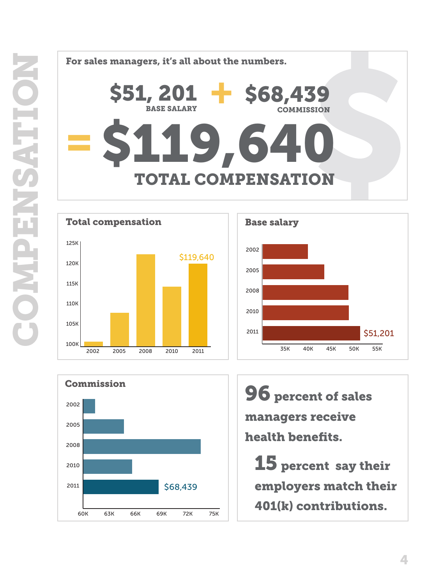







96 percent of sales managers receive health benefits.

15 percent say their employers match their 401(k) contributions.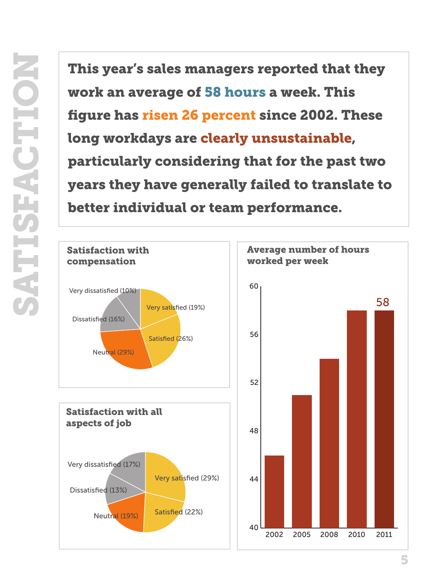This year's sales managers reported that they<br>work an average of 58 hours a week. This<br>figure has risen 26 percent since 2002. These<br>long workdays are clearly unsustainable,<br>particularly considering that for the past two<br>y work an average of 58 hours a week. This figure has risen 26 percent since 2002. These long workdays are clearly unsustainable, particularly considering that for the past two years they have generally failed to translate to better individual or team performance.